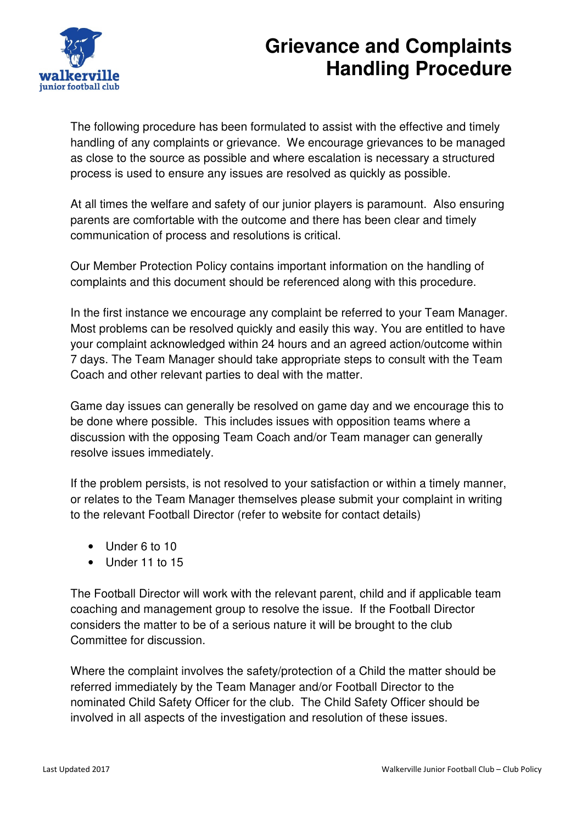

## **Grievance and Complaints Handling Procedure**

The following procedure has been formulated to assist with the effective and timely handling of any complaints or grievance. We encourage grievances to be managed as close to the source as possible and where escalation is necessary a structured process is used to ensure any issues are resolved as quickly as possible.

At all times the welfare and safety of our junior players is paramount. Also ensuring parents are comfortable with the outcome and there has been clear and timely communication of process and resolutions is critical.

Our Member Protection Policy contains important information on the handling of complaints and this document should be referenced along with this procedure.

In the first instance we encourage any complaint be referred to your Team Manager. Most problems can be resolved quickly and easily this way. You are entitled to have your complaint acknowledged within 24 hours and an agreed action/outcome within 7 days. The Team Manager should take appropriate steps to consult with the Team Coach and other relevant parties to deal with the matter.

Game day issues can generally be resolved on game day and we encourage this to be done where possible. This includes issues with opposition teams where a discussion with the opposing Team Coach and/or Team manager can generally resolve issues immediately.

If the problem persists, is not resolved to your satisfaction or within a timely manner, or relates to the Team Manager themselves please submit your complaint in writing to the relevant Football Director (refer to website for contact details)

- Under 6 to 10
- Under 11 to 15

The Football Director will work with the relevant parent, child and if applicable team coaching and management group to resolve the issue. If the Football Director considers the matter to be of a serious nature it will be brought to the club Committee for discussion.

Where the complaint involves the safety/protection of a Child the matter should be referred immediately by the Team Manager and/or Football Director to the nominated Child Safety Officer for the club. The Child Safety Officer should be involved in all aspects of the investigation and resolution of these issues.